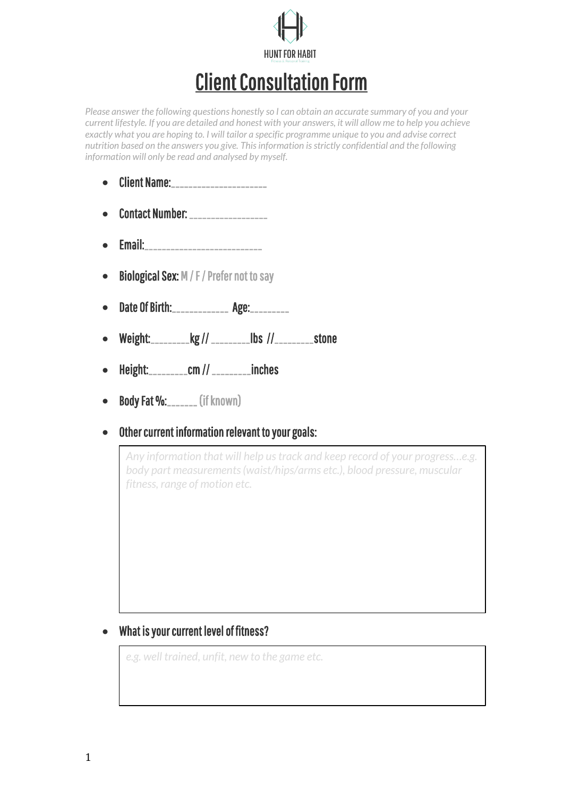

# Client Consultation Form

*Please answer the following questions honestly so I can obtain an accurate summary of you and your current lifestyle. If you are detailed and honest with your answers, it will allow me to help you achieve exactly what you are hoping to. I will tailor a specific programme unique to you and advise correct nutrition based on the answers you give. This information is strictly confidential and the following information will only be read and analysed by myself.*

- $\bullet$  Client Name:
- Contact Number: \_\_\_\_\_\_\_\_\_\_\_\_\_\_\_\_\_\_
- Email:\_\_\_\_\_\_\_\_\_\_\_\_\_\_\_\_\_\_\_\_\_\_\_\_\_\_\_
- Biological Sex: M / F / Prefer not to say
- Date Of Birth:\_\_\_\_\_\_\_\_\_\_\_\_\_\_\_ Age:\_\_\_\_\_\_\_\_\_
- Weight:\_\_\_\_\_\_\_\_\_kg // \_\_\_\_\_\_\_\_\_lbs //\_\_\_\_\_\_\_\_\_stone
- Height:\_\_\_\_\_\_\_\_\_cm // \_\_\_\_\_\_\_\_\_inches
- **Body Fat %:\_\_\_\_\_\_\_** (if known)
- Other current information relevant to your goals:

*Any information that will help us track and keep record of your progress…e.g. body part measurements (waist/hips/arms etc.), blood pressure, muscular fitness, range of motion etc.*

#### • What is your current level of fitness?

*e.g. well trained, unfit, new to the game etc.*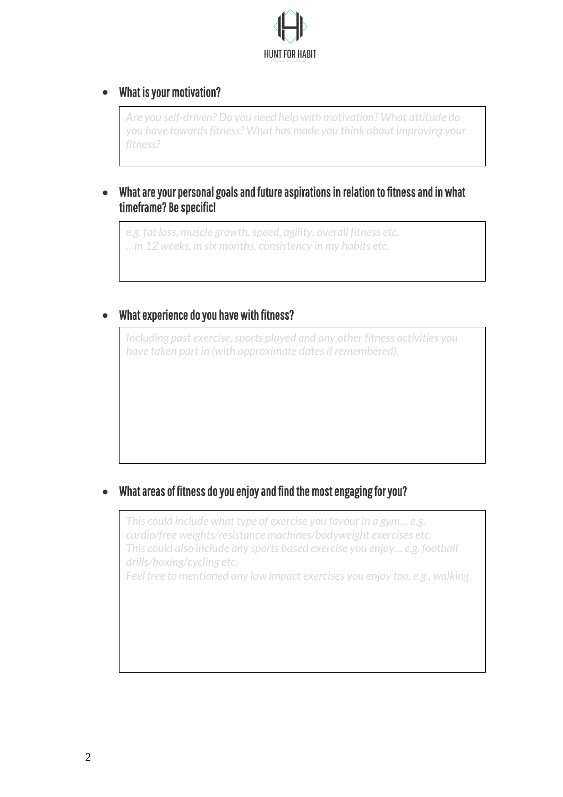

## • What is your motivation?

 $\overline{\phantom{a}}$  $\overline{\phantom{a}}$ 

 $\overline{\phantom{a}}$ 

*Are you self-driven? Do you need help with motivation? What attitude do you have towards fitness? What has made you think about improving your fitness?*

#### • What are your personal goals and future aspirations in relation to fitness and in what timeframe? Be specific!

*e.g. fat loss, muscle growth, speed, agility, overall fitness etc. …in 12 weeks, in six months, consistency in my habits etc.*

## • What experience do you have with fitness?

*Including past exercise, sports played and any other fitness activities you have taken part in (with approximate dates if remembered).*

## • What areas of fitness do you enjoy and find the most engaging for you?

*This could include what type of exercise you favour in a gym… e.g. cardio/free weights/resistance machines/bodyweight exercises etc. This could also include any sports based exercise you enjoy… e.g. football drills/boxing/cycling etc.*

*Feel free to mentioned any low impact exercises you enjoy too, e.g., walking.*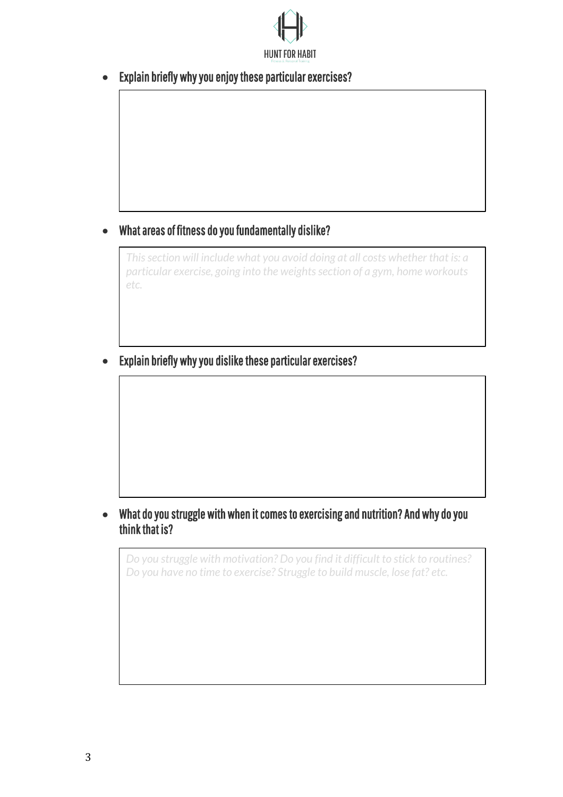

• Explain briefly why you enjoy these particular exercises?

## • What areas of fitness do you fundamentally dislike?

*This section will include what you avoid doing at all costs whether that is: a particular exercise, going into the weights section of a gym, home workouts etc.*

• Explain briefly why you dislike these particular exercises?

#### • What do you struggle with when it comes to exercising and nutrition? And why do you think that is?

*Do you struggle with motivation? Do you find it difficult to stick to routines? Do you have no time to exercise? Struggle to build muscle, lose fat? etc.*

 $\overline{\phantom{a}}$  $\overline{\phantom{a}}$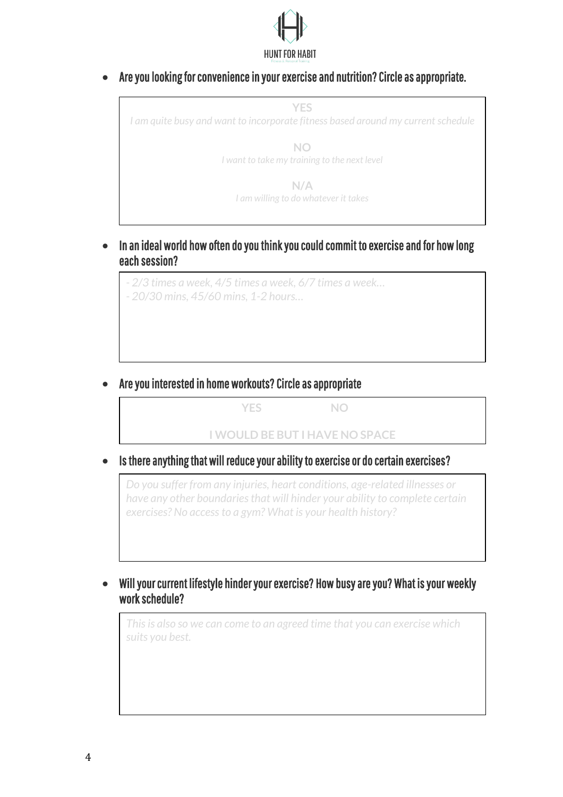

• Are you looking for convenience in your exercise and nutrition? Circle as appropriate.



• In an ideal world how often do you think you could commit to exercise and for how long each session?

*- 2/3 times a week, 4/5 times a week, 6/7 times a week… - 20/30 mins, 45/60 mins, 1-2 hours…*

• Are you interested in home workouts? Circle as appropriate

 **YES NO I WOULD BE BUT I HAVE NO SPACE**

• Is there anything that will reduce your ability to exercise or do certain exercises?

*Do you suffer from any injuries, heart conditions, age-related illnesses or have any other boundaries that will hinder your ability to complete certain exercises? No access to a gym? What is your health history?*

• Will your current lifestyle hinder your exercise? How busy are you? What is your weekly work schedule?

*This is also so we can come to an agreed time that you can exercise which suits you best.*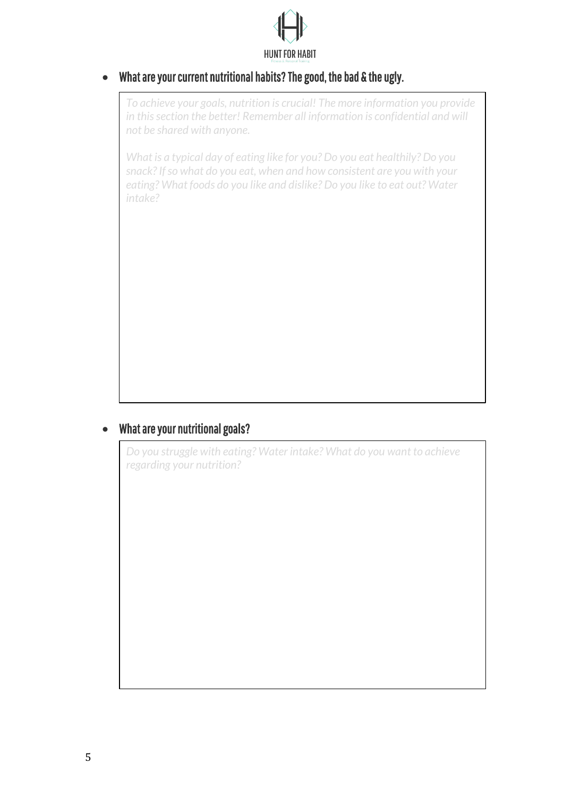

## • What are your current nutritional habits? The good, the bad & the ugly.

*To achieve your goals, nutrition is crucial! The more information you provide in this section the better! Remember all information is confidential and will not be shared with anyone.*

*What is a typical day of eating like for you? Do you eat healthily? Do you snack? If so what do you eat, when and how consistent are you with your eating? What foods do you like and dislike? Do you like to eat out? Water intake?*

## • What are your nutritional goals?

*Do you struggle with eating? Water intake? What do you want to achieve regarding your nutrition?*